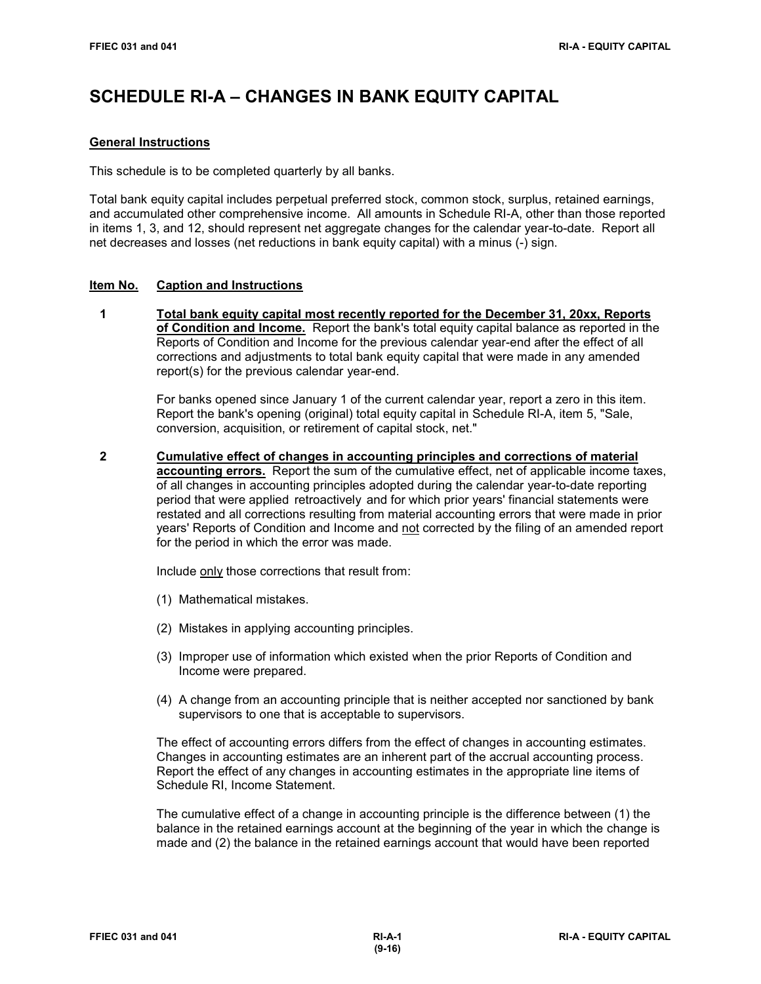# **SCHEDULE RI-A – CHANGES IN BANK EQUITY CAPITAL**

## **General Instructions**

This schedule is to be completed quarterly by all banks.

Total bank equity capital includes perpetual preferred stock, common stock, surplus, retained earnings, and accumulated other comprehensive income. All amounts in Schedule RI-A, other than those reported in items 1, 3, and 12, should represent net aggregate changes for the calendar year-to-date. Report all net decreases and losses (net reductions in bank equity capital) with a minus (-) sign.

## **Item No. Caption and Instructions**

 **1 Total bank equity capital most recently reported for the December 31, 20xx, Reports of Condition and Income.** Report the bank's total equity capital balance as reported in the Reports of Condition and Income for the previous calendar year-end after the effect of all corrections and adjustments to total bank equity capital that were made in any amended report(s) for the previous calendar year-end.

> For banks opened since January 1 of the current calendar year, report a zero in this item. Report the bank's opening (original) total equity capital in Schedule RI-A, item 5, "Sale, conversion, acquisition, or retirement of capital stock, net."

 **2 Cumulative effect of changes in accounting principles and corrections of material accounting errors.** Report the sum of the cumulative effect, net of applicable income taxes, of all changes in accounting principles adopted during the calendar year-to-date reporting period that were applied retroactively and for which prior years' financial statements were restated and all corrections resulting from material accounting errors that were made in prior years' Reports of Condition and Income and not corrected by the filing of an amended report for the period in which the error was made.

Include only those corrections that result from:

- (1) Mathematical mistakes.
- (2) Mistakes in applying accounting principles.
- (3) Improper use of information which existed when the prior Reports of Condition and Income were prepared.
- (4) A change from an accounting principle that is neither accepted nor sanctioned by bank supervisors to one that is acceptable to supervisors.

The effect of accounting errors differs from the effect of changes in accounting estimates. Changes in accounting estimates are an inherent part of the accrual accounting process. Report the effect of any changes in accounting estimates in the appropriate line items of Schedule RI, Income Statement.

The cumulative effect of a change in accounting principle is the difference between (1) the balance in the retained earnings account at the beginning of the year in which the change is made and (2) the balance in the retained earnings account that would have been reported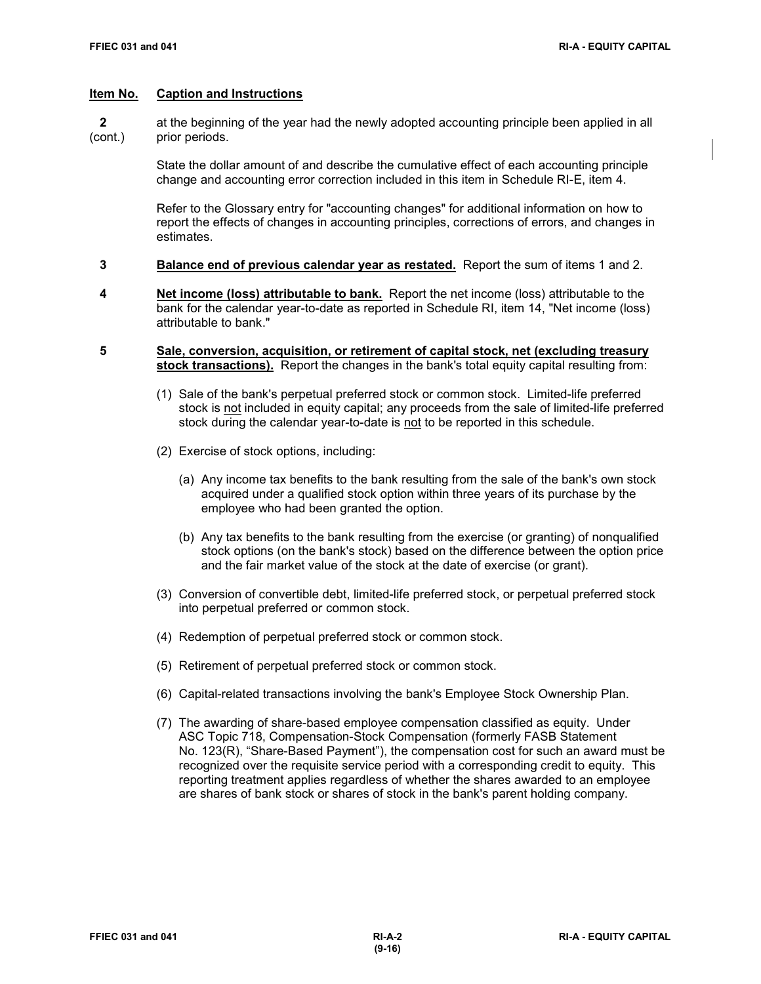**2** at the beginning of the year had the newly adopted accounting principle been applied in all (cont.) prior periods.

> State the dollar amount of and describe the cumulative effect of each accounting principle change and accounting error correction included in this item in Schedule RI-E, item 4.

Refer to the Glossary entry for "accounting changes" for additional information on how to report the effects of changes in accounting principles, corrections of errors, and changes in estimates.

- **3 Balance end of previous calendar year as restated.** Report the sum of items 1 and 2.
- **4 Net income (loss) attributable to bank.** Report the net income (loss) attributable to the bank for the calendar year-to-date as reported in Schedule RI, item 14, "Net income (loss) attributable to bank."
- **5 Sale, conversion, acquisition, or retirement of capital stock, net (excluding treasury stock transactions).** Report the changes in the bank's total equity capital resulting from:
	- (1) Sale of the bank's perpetual preferred stock or common stock. Limited-life preferred stock is not included in equity capital; any proceeds from the sale of limited-life preferred stock during the calendar year-to-date is not to be reported in this schedule.
	- (2) Exercise of stock options, including:
		- (a) Any income tax benefits to the bank resulting from the sale of the bank's own stock acquired under a qualified stock option within three years of its purchase by the employee who had been granted the option.
		- (b) Any tax benefits to the bank resulting from the exercise (or granting) of nonqualified stock options (on the bank's stock) based on the difference between the option price and the fair market value of the stock at the date of exercise (or grant).
	- (3) Conversion of convertible debt, limited-life preferred stock, or perpetual preferred stock into perpetual preferred or common stock.
	- (4) Redemption of perpetual preferred stock or common stock.
	- (5) Retirement of perpetual preferred stock or common stock.
	- (6) Capital-related transactions involving the bank's Employee Stock Ownership Plan.
	- (7) The awarding of share-based employee compensation classified as equity. Under ASC Topic 718, Compensation-Stock Compensation (formerly FASB Statement No. 123(R), "Share-Based Payment"), the compensation cost for such an award must be recognized over the requisite service period with a corresponding credit to equity. This reporting treatment applies regardless of whether the shares awarded to an employee are shares of bank stock or shares of stock in the bank's parent holding company.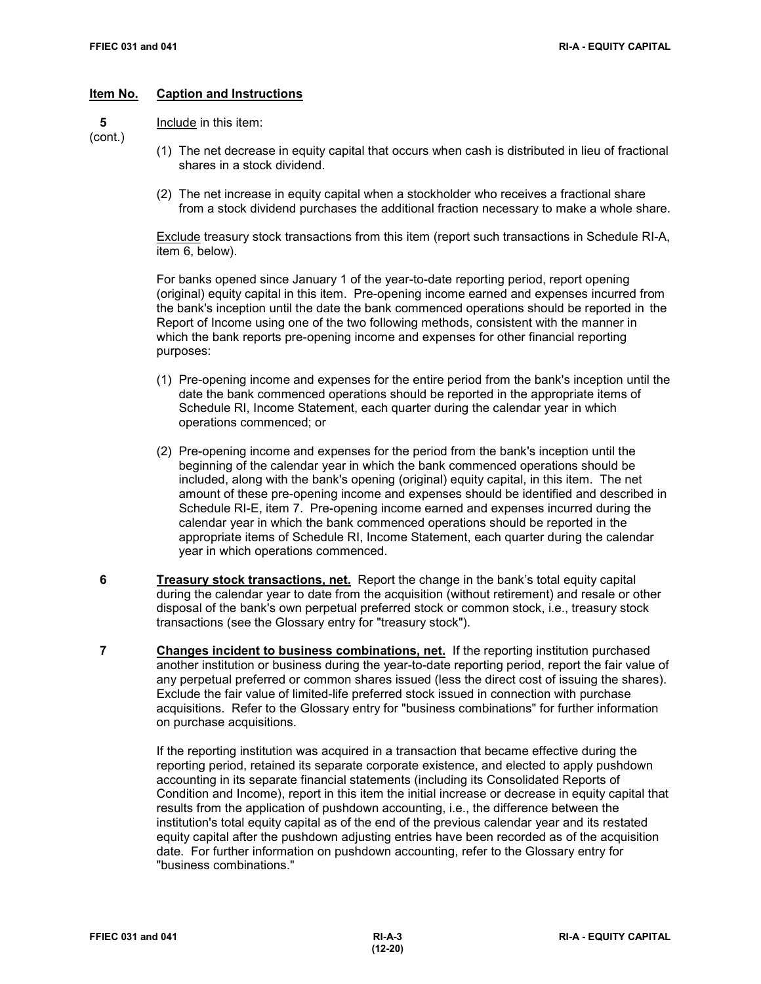**5** Include in this item:

(cont.)

- (1) The net decrease in equity capital that occurs when cash is distributed in lieu of fractional shares in a stock dividend.
- (2) The net increase in equity capital when a stockholder who receives a fractional share from a stock dividend purchases the additional fraction necessary to make a whole share.

Exclude treasury stock transactions from this item (report such transactions in Schedule RI-A, item 6, below).

For banks opened since January 1 of the year-to-date reporting period, report opening (original) equity capital in this item. Pre-opening income earned and expenses incurred from the bank's inception until the date the bank commenced operations should be reported in the Report of Income using one of the two following methods, consistent with the manner in which the bank reports pre-opening income and expenses for other financial reporting purposes:

- (1) Pre-opening income and expenses for the entire period from the bank's inception until the date the bank commenced operations should be reported in the appropriate items of Schedule RI, Income Statement, each quarter during the calendar year in which operations commenced; or
- (2) Pre-opening income and expenses for the period from the bank's inception until the beginning of the calendar year in which the bank commenced operations should be included, along with the bank's opening (original) equity capital, in this item. The net amount of these pre-opening income and expenses should be identified and described in Schedule RI-E, item 7. Pre-opening income earned and expenses incurred during the calendar year in which the bank commenced operations should be reported in the appropriate items of Schedule RI, Income Statement, each quarter during the calendar year in which operations commenced.
- **6 Treasury stock transactions, net.** Report the change in the bank's total equity capital during the calendar year to date from the acquisition (without retirement) and resale or other disposal of the bank's own perpetual preferred stock or common stock, i.e., treasury stock transactions (see the Glossary entry for "treasury stock").
- **7 Changes incident to business combinations, net.** If the reporting institution purchased another institution or business during the year-to-date reporting period, report the fair value of any perpetual preferred or common shares issued (less the direct cost of issuing the shares). Exclude the fair value of limited-life preferred stock issued in connection with purchase acquisitions. Refer to the Glossary entry for "business combinations" for further information on purchase acquisitions.

 If the reporting institution was acquired in a transaction that became effective during the reporting period, retained its separate corporate existence, and elected to apply pushdown accounting in its separate financial statements (including its Consolidated Reports of Condition and Income), report in this item the initial increase or decrease in equity capital that results from the application of pushdown accounting, i.e., the difference between the institution's total equity capital as of the end of the previous calendar year and its restated equity capital after the pushdown adjusting entries have been recorded as of the acquisition date. For further information on pushdown accounting, refer to the Glossary entry for "business combinations."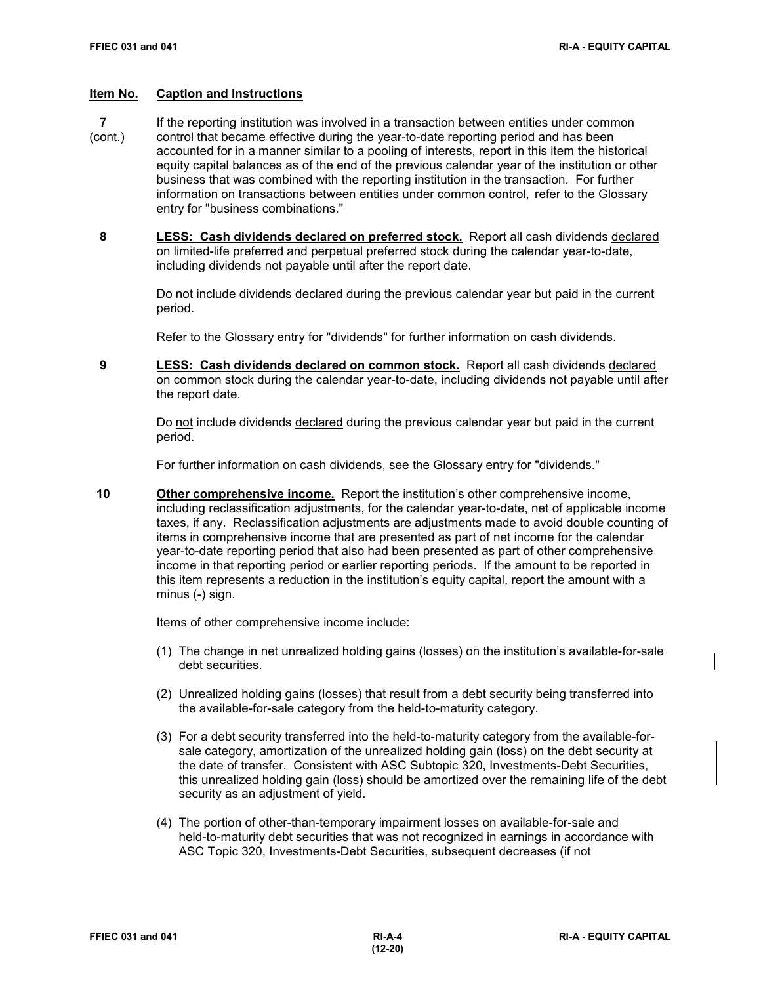- **7** If the reporting institution was involved in a transaction between entities under common
- (cont.) control that became effective during the year-to-date reporting period and has been accounted for in a manner similar to a pooling of interests, report in this item the historical equity capital balances as of the end of the previous calendar year of the institution or other business that was combined with the reporting institution in the transaction. For further information on transactions between entities under common control, refer to the Glossary entry for "business combinations."
	- **8 LESS: Cash dividends declared on preferred stock.** Report all cash dividends declared on limited-life preferred and perpetual preferred stock during the calendar year-to-date, including dividends not payable until after the report date.

Do not include dividends declared during the previous calendar year but paid in the current period.

Refer to the Glossary entry for "dividends" for further information on cash dividends.

 **9 LESS: Cash dividends declared on common stock.** Report all cash dividends declared on common stock during the calendar year-to-date, including dividends not payable until after the report date.

Do not include dividends declared during the previous calendar year but paid in the current period.

For further information on cash dividends, see the Glossary entry for "dividends."

 **10 Other comprehensive income.** Report the institution's other comprehensive income, including reclassification adjustments, for the calendar year-to-date, net of applicable income taxes, if any. Reclassification adjustments are adjustments made to avoid double counting of items in comprehensive income that are presented as part of net income for the calendar year-to-date reporting period that also had been presented as part of other comprehensive income in that reporting period or earlier reporting periods. If the amount to be reported in this item represents a reduction in the institution's equity capital, report the amount with a minus (-) sign.

Items of other comprehensive income include:

- (1) The change in net unrealized holding gains (losses) on the institution's available-for-sale debt securities.
- (2) Unrealized holding gains (losses) that result from a debt security being transferred into the available-for-sale category from the held-to-maturity category.
- (3) For a debt security transferred into the held-to-maturity category from the available-forsale category, amortization of the unrealized holding gain (loss) on the debt security at the date of transfer. Consistent with ASC Subtopic 320, Investments-Debt Securities, this unrealized holding gain (loss) should be amortized over the remaining life of the debt security as an adjustment of yield.
- (4) The portion of other-than-temporary impairment losses on available-for-sale and held-to-maturity debt securities that was not recognized in earnings in accordance with ASC Topic 320, Investments-Debt Securities, subsequent decreases (if not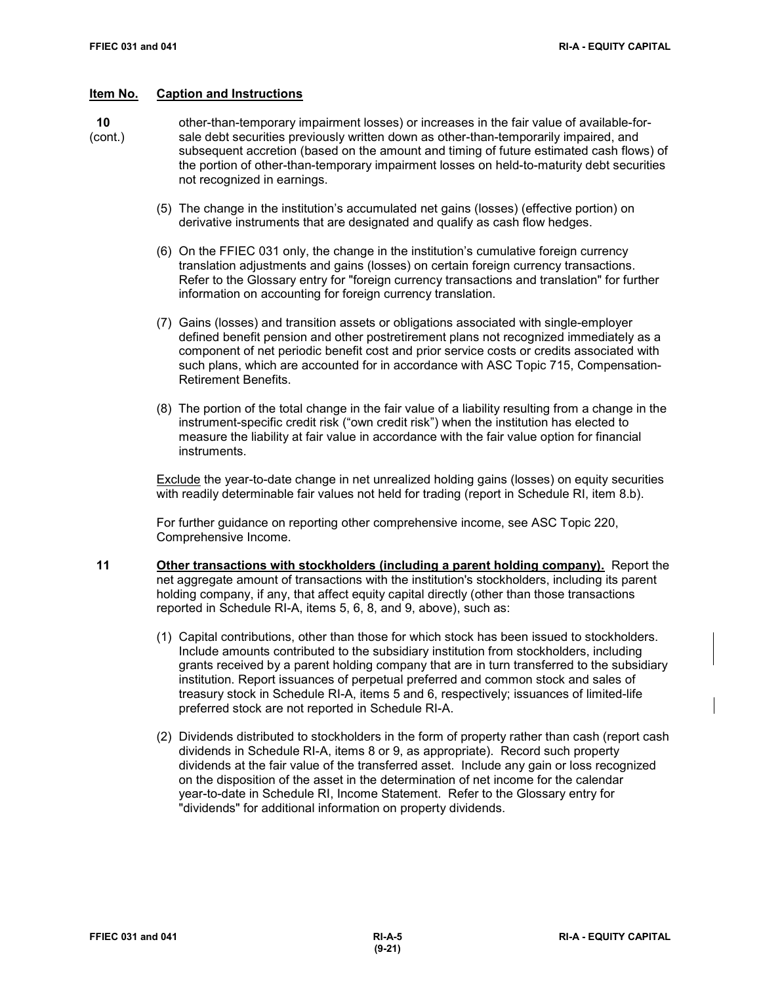- **10** other-than-temporary impairment losses) or increases in the fair value of available-for- (cont.) sale debt securities previously written down as other-than-temporarily impaired, and
	- subsequent accretion (based on the amount and timing of future estimated cash flows) of the portion of other-than-temporary impairment losses on held-to-maturity debt securities not recognized in earnings.
		- (5) The change in the institution's accumulated net gains (losses) (effective portion) on derivative instruments that are designated and qualify as cash flow hedges.
		- (6) On the FFIEC 031 only, the change in the institution's cumulative foreign currency translation adjustments and gains (losses) on certain foreign currency transactions. Refer to the Glossary entry for "foreign currency transactions and translation" for further information on accounting for foreign currency translation.
		- (7) Gains (losses) and transition assets or obligations associated with single-employer defined benefit pension and other postretirement plans not recognized immediately as a component of net periodic benefit cost and prior service costs or credits associated with such plans, which are accounted for in accordance with ASC Topic 715, Compensation-Retirement Benefits.
		- (8) The portion of the total change in the fair value of a liability resulting from a change in the instrument-specific credit risk ("own credit risk") when the institution has elected to measure the liability at fair value in accordance with the fair value option for financial instruments.

Exclude the year-to-date change in net unrealized holding gains (losses) on equity securities with readily determinable fair values not held for trading (report in Schedule RI, item 8.b).

For further guidance on reporting other comprehensive income, see ASC Topic 220, Comprehensive Income.

- **11 Other transactions with stockholders (including a parent holding company).** Report the net aggregate amount of transactions with the institution's stockholders, including its parent holding company, if any, that affect equity capital directly (other than those transactions reported in Schedule RI-A, items 5, 6, 8, and 9, above), such as:
	- (1) Capital contributions, other than those for which stock has been issued to stockholders. Include amounts contributed to the subsidiary institution from stockholders, including grants received by a parent holding company that are in turn transferred to the subsidiary institution. Report issuances of perpetual preferred and common stock and sales of treasury stock in Schedule RI-A, items 5 and 6, respectively; issuances of limited-life preferred stock are not reported in Schedule RI-A.
	- (2) Dividends distributed to stockholders in the form of property rather than cash (report cash dividends in Schedule RI-A, items 8 or 9, as appropriate). Record such property dividends at the fair value of the transferred asset. Include any gain or loss recognized on the disposition of the asset in the determination of net income for the calendar year-to-date in Schedule RI, Income Statement. Refer to the Glossary entry for "dividends" for additional information on property dividends.